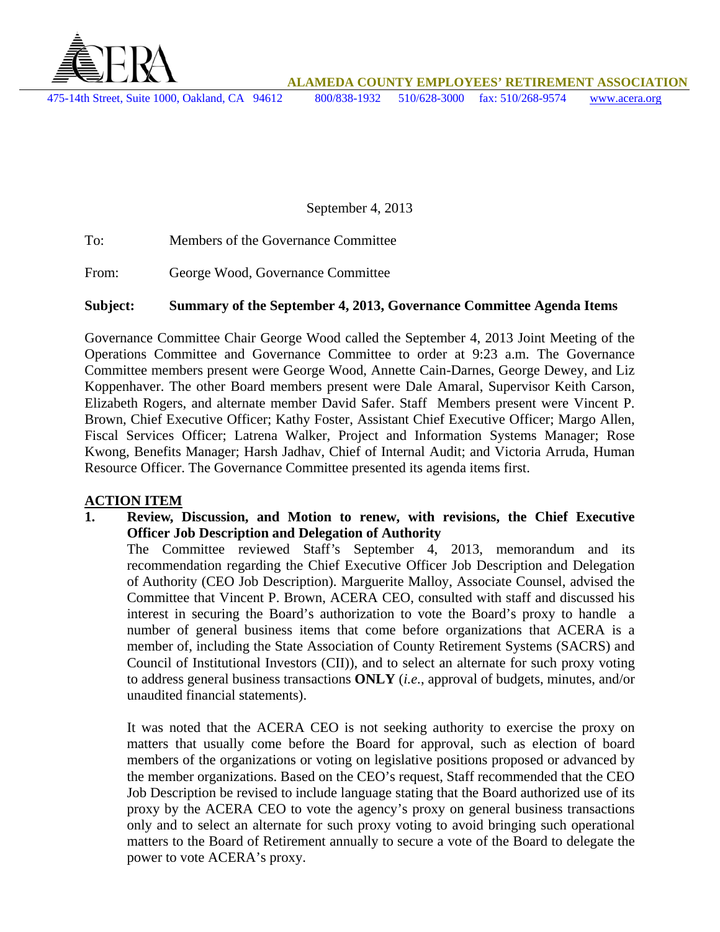

**ALAMEDA COUNTY EMPLOYEES' RETIREMENT ASSOCIATION** 

475-14th Street, Suite 1000, Oakland, CA 94612 800/838-1932 510/628-3000 fax: 510/268-9574 www.acera.org

September 4, 2013

To: Members of the Governance Committee

From: George Wood, Governance Committee

#### **Subject: Summary of the September 4, 2013, Governance Committee Agenda Items**

Governance Committee Chair George Wood called the September 4, 2013 Joint Meeting of the Operations Committee and Governance Committee to order at 9:23 a.m. The Governance Committee members present were George Wood, Annette Cain-Darnes, George Dewey, and Liz Koppenhaver. The other Board members present were Dale Amaral, Supervisor Keith Carson, Elizabeth Rogers, and alternate member David Safer. Staff Members present were Vincent P. Brown, Chief Executive Officer; Kathy Foster, Assistant Chief Executive Officer; Margo Allen, Fiscal Services Officer; Latrena Walker, Project and Information Systems Manager; Rose Kwong, Benefits Manager; Harsh Jadhav, Chief of Internal Audit; and Victoria Arruda, Human Resource Officer. The Governance Committee presented its agenda items first.

#### **ACTION ITEM**

**1. Review, Discussion, and Motion to renew, with revisions, the Chief Executive Officer Job Description and Delegation of Authority** 

The Committee reviewed Staff's September 4, 2013, memorandum and its recommendation regarding the Chief Executive Officer Job Description and Delegation of Authority (CEO Job Description). Marguerite Malloy, Associate Counsel, advised the Committee that Vincent P. Brown, ACERA CEO, consulted with staff and discussed his interest in securing the Board's authorization to vote the Board's proxy to handle a number of general business items that come before organizations that ACERA is a member of, including the State Association of County Retirement Systems (SACRS) and Council of Institutional Investors (CII)), and to select an alternate for such proxy voting to address general business transactions **ONLY** (*i.e.*, approval of budgets, minutes, and/or unaudited financial statements).

It was noted that the ACERA CEO is not seeking authority to exercise the proxy on matters that usually come before the Board for approval, such as election of board members of the organizations or voting on legislative positions proposed or advanced by the member organizations. Based on the CEO's request, Staff recommended that the CEO Job Description be revised to include language stating that the Board authorized use of its proxy by the ACERA CEO to vote the agency's proxy on general business transactions only and to select an alternate for such proxy voting to avoid bringing such operational matters to the Board of Retirement annually to secure a vote of the Board to delegate the power to vote ACERA's proxy.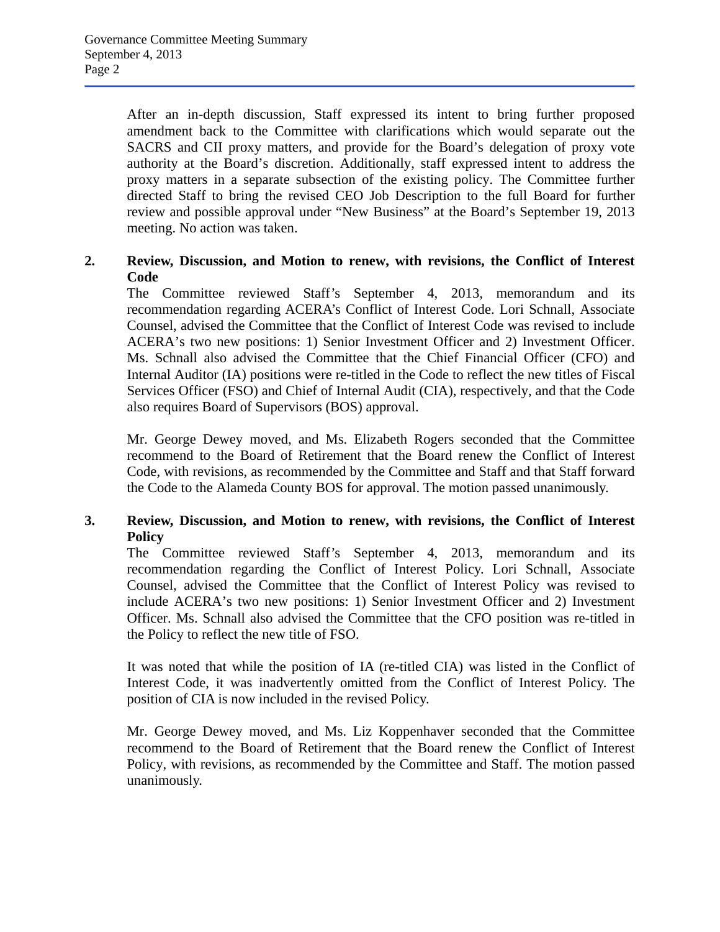After an in-depth discussion, Staff expressed its intent to bring further proposed amendment back to the Committee with clarifications which would separate out the SACRS and CII proxy matters, and provide for the Board's delegation of proxy vote authority at the Board's discretion. Additionally, staff expressed intent to address the proxy matters in a separate subsection of the existing policy. The Committee further directed Staff to bring the revised CEO Job Description to the full Board for further review and possible approval under "New Business" at the Board's September 19, 2013 meeting. No action was taken.

#### **2. Review, Discussion, and Motion to renew, with revisions, the Conflict of Interest Code**

The Committee reviewed Staff's September 4, 2013, memorandum and its recommendation regarding ACERA's Conflict of Interest Code. Lori Schnall, Associate Counsel, advised the Committee that the Conflict of Interest Code was revised to include ACERA's two new positions: 1) Senior Investment Officer and 2) Investment Officer. Ms. Schnall also advised the Committee that the Chief Financial Officer (CFO) and Internal Auditor (IA) positions were re-titled in the Code to reflect the new titles of Fiscal Services Officer (FSO) and Chief of Internal Audit (CIA), respectively, and that the Code also requires Board of Supervisors (BOS) approval.

Mr. George Dewey moved, and Ms. Elizabeth Rogers seconded that the Committee recommend to the Board of Retirement that the Board renew the Conflict of Interest Code, with revisions, as recommended by the Committee and Staff and that Staff forward the Code to the Alameda County BOS for approval. The motion passed unanimously.

#### **3. Review, Discussion, and Motion to renew, with revisions, the Conflict of Interest Policy**

The Committee reviewed Staff's September 4, 2013, memorandum and its recommendation regarding the Conflict of Interest Policy. Lori Schnall, Associate Counsel, advised the Committee that the Conflict of Interest Policy was revised to include ACERA's two new positions: 1) Senior Investment Officer and 2) Investment Officer. Ms. Schnall also advised the Committee that the CFO position was re-titled in the Policy to reflect the new title of FSO.

It was noted that while the position of IA (re-titled CIA) was listed in the Conflict of Interest Code, it was inadvertently omitted from the Conflict of Interest Policy. The position of CIA is now included in the revised Policy.

Mr. George Dewey moved, and Ms. Liz Koppenhaver seconded that the Committee recommend to the Board of Retirement that the Board renew the Conflict of Interest Policy, with revisions, as recommended by the Committee and Staff. The motion passed unanimously.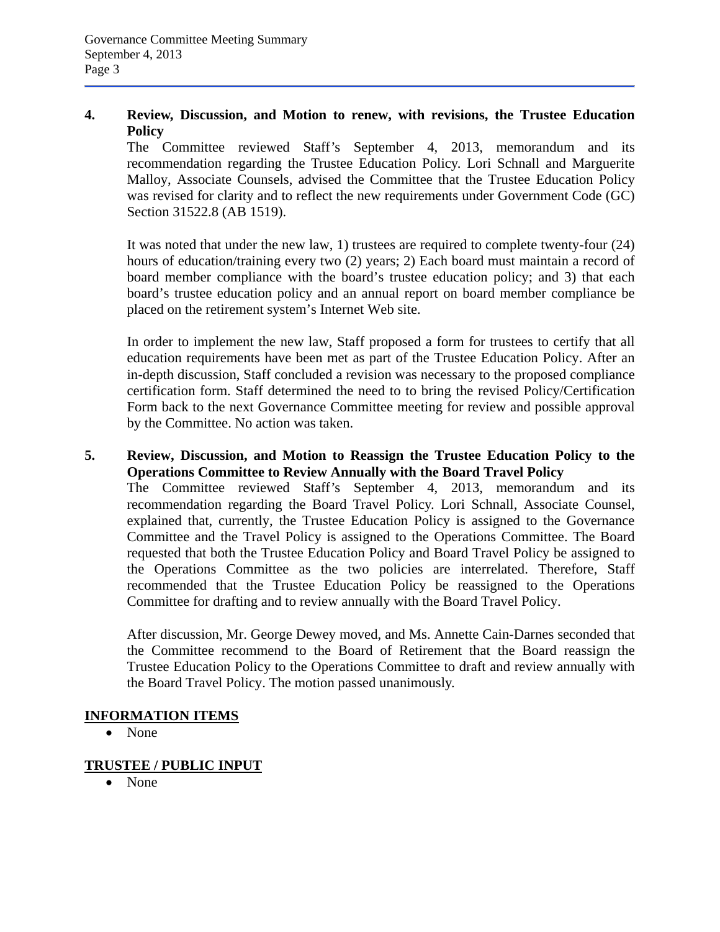#### **4. Review, Discussion, and Motion to renew, with revisions, the Trustee Education Policy**

The Committee reviewed Staff's September 4, 2013, memorandum and its recommendation regarding the Trustee Education Policy. Lori Schnall and Marguerite Malloy, Associate Counsels, advised the Committee that the Trustee Education Policy was revised for clarity and to reflect the new requirements under Government Code (GC) Section 31522.8 (AB 1519).

It was noted that under the new law, 1) trustees are required to complete twenty-four (24) hours of education/training every two (2) years; 2) Each board must maintain a record of board member compliance with the board's trustee education policy; and 3) that each board's trustee education policy and an annual report on board member compliance be placed on the retirement system's Internet Web site.

In order to implement the new law, Staff proposed a form for trustees to certify that all education requirements have been met as part of the Trustee Education Policy. After an in-depth discussion, Staff concluded a revision was necessary to the proposed compliance certification form. Staff determined the need to to bring the revised Policy/Certification Form back to the next Governance Committee meeting for review and possible approval by the Committee. No action was taken.

# **5. Review, Discussion, and Motion to Reassign the Trustee Education Policy to the Operations Committee to Review Annually with the Board Travel Policy**

The Committee reviewed Staff's September 4, 2013, memorandum and its recommendation regarding the Board Travel Policy. Lori Schnall, Associate Counsel, explained that, currently, the Trustee Education Policy is assigned to the Governance Committee and the Travel Policy is assigned to the Operations Committee. The Board requested that both the Trustee Education Policy and Board Travel Policy be assigned to the Operations Committee as the two policies are interrelated. Therefore, Staff recommended that the Trustee Education Policy be reassigned to the Operations Committee for drafting and to review annually with the Board Travel Policy.

After discussion, Mr. George Dewey moved, and Ms. Annette Cain-Darnes seconded that the Committee recommend to the Board of Retirement that the Board reassign the Trustee Education Policy to the Operations Committee to draft and review annually with the Board Travel Policy. The motion passed unanimously.

# **INFORMATION ITEMS**

• None

# **TRUSTEE / PUBLIC INPUT**

• None